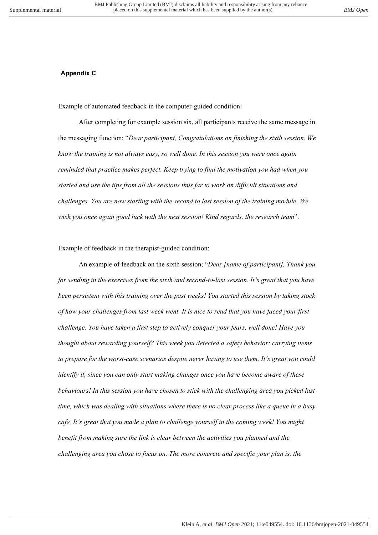## **Appendix B Appendix C**

Example of automated feedback in the computer-guided condition:

After completing for example session six, all participants receive the same message in the messaging function; "*Dear participant, Congratulations on finishing the sixth session. We know the training is not always easy, so well done. In this session you were once again reminded that practice makes perfect. Keep trying to find the motivation you had when you started and use the tips from all the sessions thus far to work on difficult situations and challenges. You are now starting with the second to last session of the training module. We wish you once again good luck with the next session! Kind regards, the research team*".

## Example of feedback in the therapist-guided condition:

An example of feedback on the sixth session; "*Dear [name of participant], Thank you for sending in the exercises from the sixth and second-to-last session. It's great that you have been persistent with this training over the past weeks! You started this session by taking stock of how your challenges from last week went. It is nice to read that you have faced your first challenge. You have taken a first step to actively conquer your fears, well done! Have you thought about rewarding yourself? This week you detected a safety behavior: carrying items to prepare for the worst-case scenarios despite never having to use them. It's great you could identify it, since you can only start making changes once you have become aware of these behaviours! In this session you have chosen to stick with the challenging area you picked last time, which was dealing with situations where there is no clear process like a queue in a busy cafe. It's great that you made a plan to challenge yourself in the coming week! You might benefit from making sure the link is clear between the activities you planned and the challenging area you chose to focus on. The more concrete and specific your plan is, the*